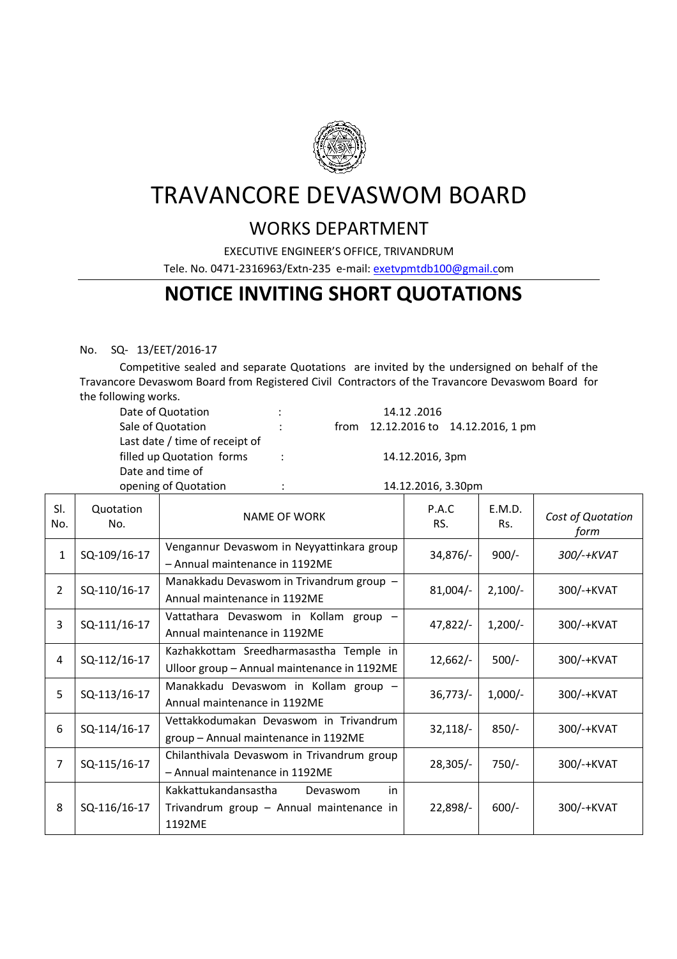

# TRAVANCORE DEVASWOM BOARD

### WORKS DEPARTMENT

EXECUTIVE ENGINEER'S OFFICE, TRIVANDRUM

Tele. No. 0471-2316963/Extn-235 e-mail: exetvpmtdb100@gmail.com

## **NOTICE INVITING SHORT QUOTATIONS**

#### No. SQ- 13/EET/2016-17

 Competitive sealed and separate Quotations are invited by the undersigned on behalf of the Travancore Devaswom Board from Registered Civil Contractors of the Travancore Devaswom Board for the following works.

| Date of Quotation              | ٠                    | 14.12.2016                          |  |  |  |  |
|--------------------------------|----------------------|-------------------------------------|--|--|--|--|
| Sale of Quotation              | $\ddot{\phantom{0}}$ | from 12.12.2016 to 14.12.2016, 1 pm |  |  |  |  |
| Last date / time of receipt of |                      |                                     |  |  |  |  |
| filled up Quotation forms      | ÷                    | 14.12.2016, 3pm                     |  |  |  |  |
| Date and time of               |                      |                                     |  |  |  |  |
| opening of Quotation           | ÷                    | 14.12.2016, 3.30pm                  |  |  |  |  |

| SI.<br>No.     | Quotation<br>No. | NAME OF WORK                                                                                 | P.A.C<br>RS. | E.M.D.<br>Rs. | Cost of Quotation<br>form |
|----------------|------------------|----------------------------------------------------------------------------------------------|--------------|---------------|---------------------------|
| $\mathbf{1}$   | SQ-109/16-17     | Vengannur Devaswom in Neyyattinkara group<br>- Annual maintenance in 1192ME                  | 34,876/-     | $900/-$       | 300/-+KVAT                |
| $\overline{2}$ | SQ-110/16-17     | Manakkadu Devaswom in Trivandrum group -<br>Annual maintenance in 1192ME                     | $81,004/-$   | $2,100/-$     | 300/-+KVAT                |
| 3              | SQ-111/16-17     | Vattathara Devaswom in Kollam group -<br>Annual maintenance in 1192ME                        | 47,822/-     | $1,200/-$     | 300/-+KVAT                |
| 4              | SQ-112/16-17     | Kazhakkottam Sreedharmasastha Temple in<br>Ulloor group - Annual maintenance in 1192ME       | $12,662/-$   | $500/-$       | 300/-+KVAT                |
| 5              | SQ-113/16-17     | Manakkadu Devaswom in Kollam group -<br>Annual maintenance in 1192ME                         | 36,773/      | $1,000/-$     | 300/-+KVAT                |
| 6              | SQ-114/16-17     | Vettakkodumakan Devaswom in Trivandrum<br>group - Annual maintenance in 1192ME               | 32,118/      | $850/-$       | 300/-+KVAT                |
| 7              | SQ-115/16-17     | Chilanthivala Devaswom in Trivandrum group<br>- Annual maintenance in 1192ME                 | $28,305/-$   | $750/-$       | 300/-+KVAT                |
| 8              | SQ-116/16-17     | Kakkattukandansastha<br>in<br>Devaswom<br>Trivandrum group - Annual maintenance in<br>1192ME | $22,898/-$   | $600/-$       | 300/-+KVAT                |